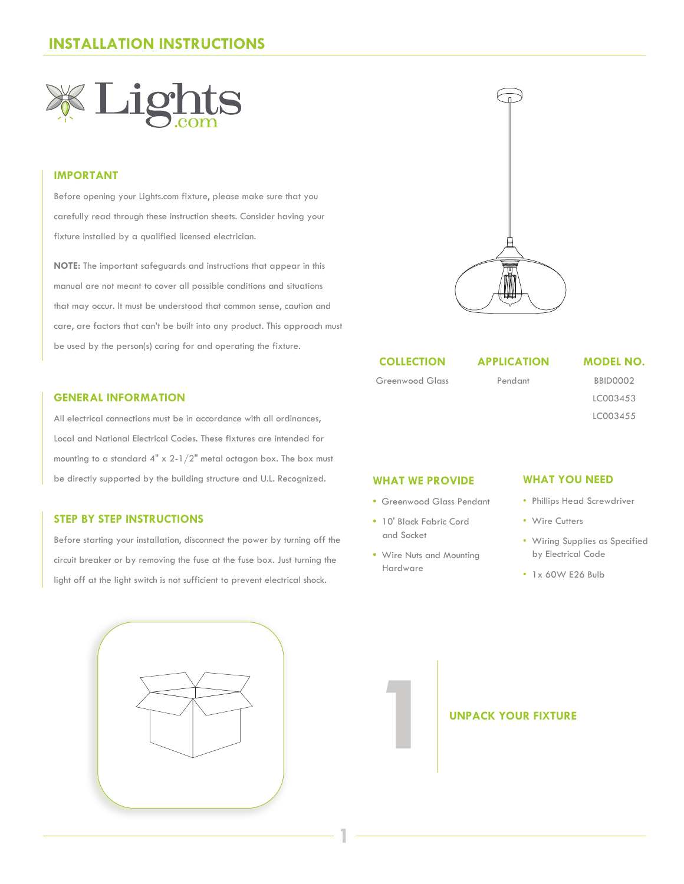

#### **IMPORTANT**

Before opening your Lights.com fixture, please make sure that you carefully read through these instruction sheets. Consider having your fixture installed by a qualified licensed electrician.

**NOTE:** The important safeguards and instructions that appear in this manual are not meant to cover all possible conditions and situations that may occur. It must be understood that common sense, caution and care, are factors that can't be built into any product. This approach must be used by the person(s) caring for and operating the fixture.

#### **GENERAL INFORMATION**

All electrical connections must be in accordance with all ordinances, Local and National Electrical Codes. These fixtures are intended for mounting to a standard  $4" \times 2-1/2"$  metal octagon box. The box must be directly supported by the building structure and U.L. Recognized. **WHAT YOU NEED**

#### **STEP BY STEP INSTRUCTIONS**

Before starting your installation, disconnect the power by turning off the circuit breaker or by removing the fuse at the fuse box. Just turning the light off at the light switch is not sufficient to prevent electrical shock.





#### **COLLECTION**

Greenwood Glass

**APPLICATION**

Pendant

**MODEL NO.**

BBID0002 LC003453 LC003455

#### **WHAT WE PROVIDE**

- Greenwood Glass Pendant
- **•** 10' Black Fabric Cord and Socket
- Wire Nuts and Mounting Hardware

**1**

- Phillips Head Screwdriver
- Wire Cutters
- Wiring Supplies as Specified by Electrical Code
- 1x 60W E26 Bulb

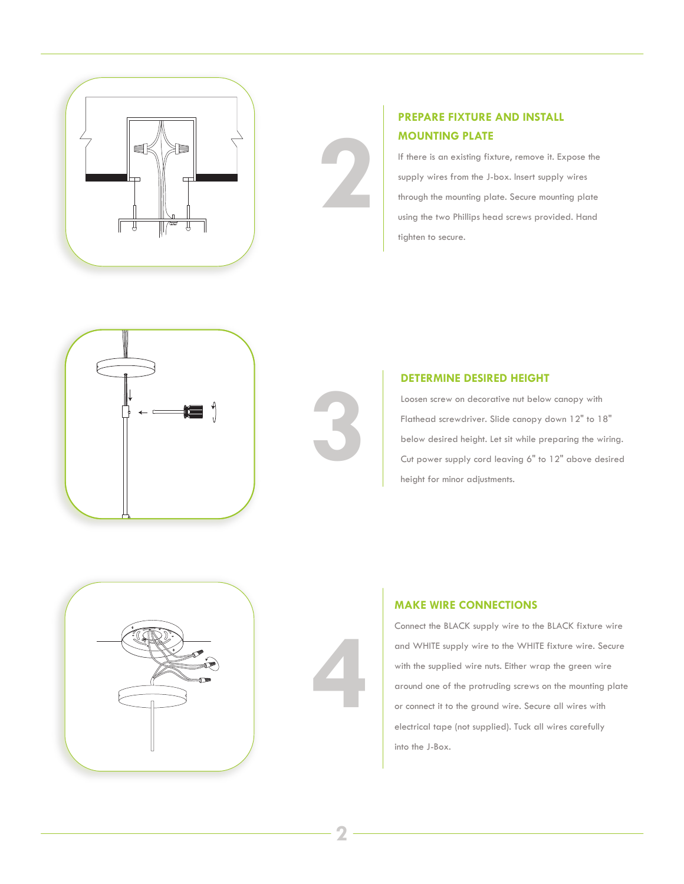

### **PREPARE FIXTURE AND INSTALL MOUNTING PLATE**

If there is an existing fixture, remove it. Expose the supply wires from the J-box. Insert supply wires through the mounting plate. Secure mounting plate using the two Phillips head screws provided. Hand tighten to secure.



#### **DETERMINE DESIRED HEIGHT**

Loosen screw on decorative nut below canopy with Flathead screwdriver. Slide canopy down 12" to 18" below desired height. Let sit while preparing the wiring. Cut power supply cord leaving 6" to 12" above desired height for minor adjustments.





**3**

**2**

#### **MAKE WIRE CONNECTIONS**

Connect the BLACK supply wire to the BLACK fixture wire and WHITE supply wire to the WHITE fixture wire. Secure with the supplied wire nuts. Either wrap the green wire around one of the protruding screws on the mounting plate or connect it to the ground wire. Secure all wires with electrical tape (not supplied). Tuck all wires carefully into the J-Box.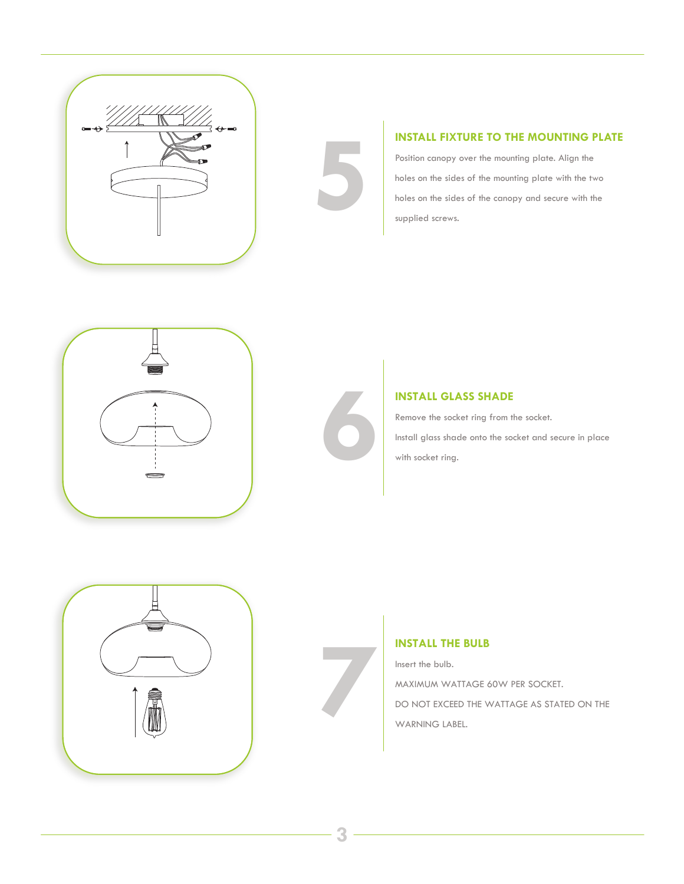

#### **INSTALL FIXTURE TO THE MOUNTING PLATE**

Position canopy over the mounting plate. Align the holes on the sides of the mounting plate with the two **INSTALL FIXTURE TO THE MOUNTING PL**<br>Position canopy over the mounting plate. Align the<br>holes on the sides of the mounting plate with the two<br>holes on the sides of the canopy and secure with the<br>supplied screws. supplied screws.





#### **INSTALL GLASS SHADE**

Remove the socket ring from the socket. **INSTALL GLASS SHADE**<br>Remove the socket ring from the socket.<br>Install glass shade onto the socket and secure in place<br>with socket ring.



## **INSTALL THE BULB**

Insert the bulb.

MAXIMUM WATTAGE 60W PER SOCKET.

**INSTALL THE BULB**<br>
Insert the bulb.<br>
MAXIMUM WATTAGE 60W PER SOCKET.<br>
DO NOT EXCEED THE WATTAGE AS STATED ON THE<br>
WARNING LABEL. WARNING LABEL.